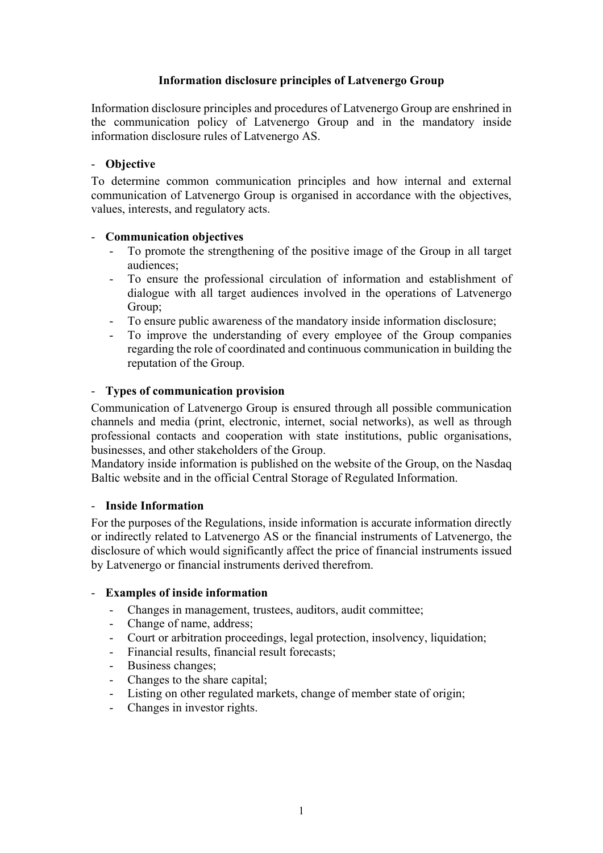# Information disclosure principles of Latvenergo Group

Information disclosure principles and procedures of Latvenergo Group are enshrined in the communication policy of Latvenergo Group and in the mandatory inside information disclosure rules of Latvenergo AS.

# - Objective

To determine common communication principles and how internal and external communication of Latvenergo Group is organised in accordance with the objectives, values, interests, and regulatory acts.

### - Communication objectives

- To promote the strengthening of the positive image of the Group in all target audiences;
- To ensure the professional circulation of information and establishment of dialogue with all target audiences involved in the operations of Latvenergo Group;
- 
- To ensure public awareness of the mandatory inside information disclosure;<br>- To improve the understanding of every employee of the Group compan-- To improve the understanding of every employee of the Group companies regarding the role of coordinated and continuous communication in building the reputation of the Group.

#### - Types of communication provision

Communication of Latvenergo Group is ensured through all possible communication channels and media (print, electronic, internet, social networks), as well as through professional contacts and cooperation with state institutions, public organisations, businesses, and other stakeholders of the Group.

Mandatory inside information is published on the website of the Group, on the Nasdaq Baltic website and in the official Central Storage of Regulated Information.

#### - Inside Information

For the purposes of the Regulations, inside information is accurate information directly or indirectly related to Latvenergo AS or the financial instruments of Latvenergo, the disclosure of which would significantly affect the price of financial instruments issued by Latvenergo or financial instruments derived therefrom.

#### - Examples of inside information

- Changes in management, trustees, auditors, audit committee;
- Change of name, address;
- Court or arbitration proceedings, legal protection, insolvency, liquidation;
- Financial results, financial result forecasts;
- Business changes:
- Changes to the share capital;
- Listing on other regulated markets, change of member state of origin;
- Changes in investor rights.